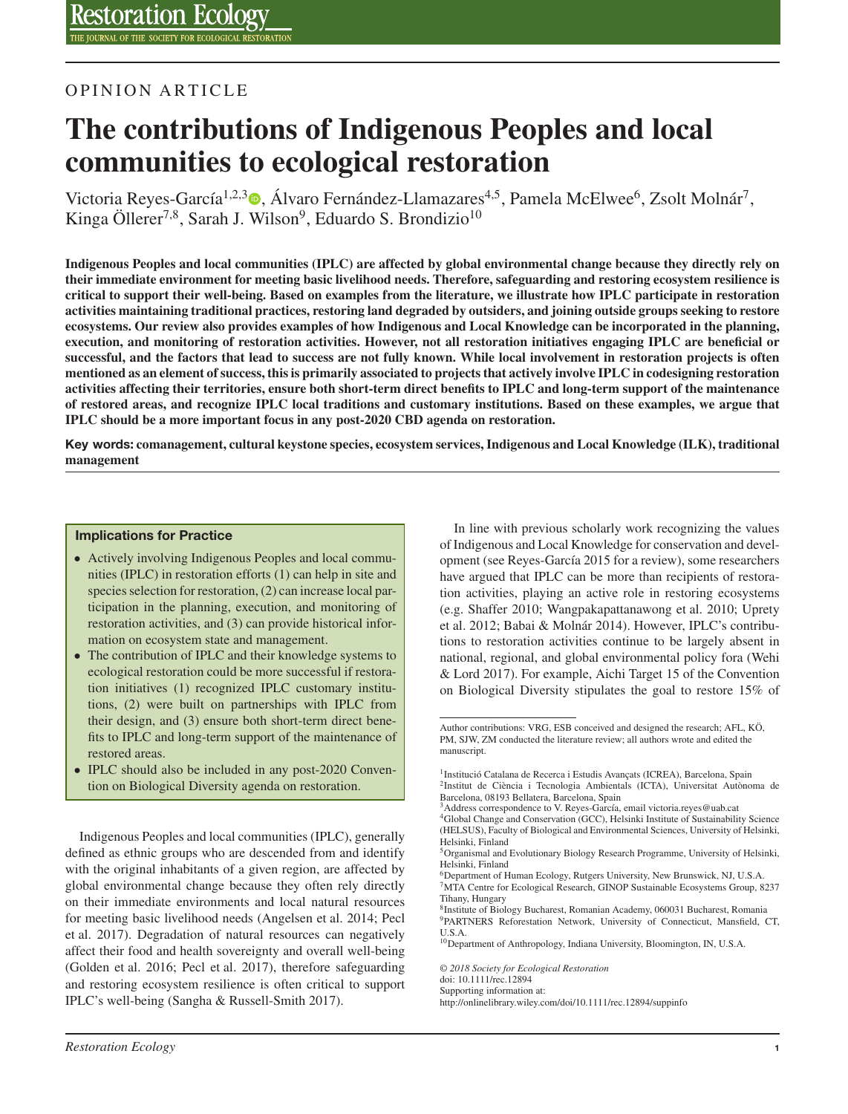# OPINION ARTICLE

# **The contributions of Indigenous Peoples and local communities to ecological restoration**

Victoria Reyes-García<sup>1[,](https://orcid.org/0000-0002-2914-8055)2,3</sup> (b. Álvaro Fernández-Llamazares<sup>4,5</sup>, Pamela McElwee<sup>6</sup>, Zsolt Molnár<sup>7</sup>, Kinga Öllerer<sup>7,8</sup>, Sarah J. Wilson<sup>9</sup>, Eduardo S. Brondizio<sup>10</sup>

**Indigenous Peoples and local communities (IPLC) are affected by global environmental change because they directly rely on their immediate environment for meeting basic livelihood needs. Therefore, safeguarding and restoring ecosystem resilience is critical to support their well-being. Based on examples from the literature, we illustrate how IPLC participate in restoration activities maintaining traditional practices, restoring land degraded by outsiders, and joining outside groups seeking to restore ecosystems. Our review also provides examples of how Indigenous and Local Knowledge can be incorporated in the planning, execution, and monitoring of restoration activities. However, not all restoration initiatives engaging IPLC are beneficial or successful, and the factors that lead to success are not fully known. While local involvement in restoration projects is often mentioned as an element of success, this is primarily associated to projects that actively involve IPLC in codesigning restoration activities affecting their territories, ensure both short-term direct benefits to IPLC and long-term support of the maintenance of restored areas, and recognize IPLC local traditions and customary institutions. Based on these examples, we argue that IPLC should be a more important focus in any post-2020 CBD agenda on restoration.**

**Key words: comanagement, cultural keystone species, ecosystem services, Indigenous and Local Knowledge (ILK), traditional management**

#### **Implications for Practice**

- Actively involving Indigenous Peoples and local communities (IPLC) in restoration efforts (1) can help in site and species selection for restoration, (2) can increase local participation in the planning, execution, and monitoring of restoration activities, and (3) can provide historical information on ecosystem state and management.
- The contribution of IPLC and their knowledge systems to ecological restoration could be more successful if restoration initiatives (1) recognized IPLC customary institutions, (2) were built on partnerships with IPLC from their design, and (3) ensure both short-term direct benefits to IPLC and long-term support of the maintenance of restored areas.
- IPLC should also be included in any post-2020 Convention on Biological Diversity agenda on restoration.

Indigenous Peoples and local communities (IPLC), generally defined as ethnic groups who are descended from and identify with the original inhabitants of a given region, are affected by global environmental change because they often rely directly on their immediate environments and local natural resources for meeting basic livelihood needs (Angelsen et al. 2014; Pecl et al. 2017). Degradation of natural resources can negatively affect their food and health sovereignty and overall well-being (Golden et al. 2016; Pecl et al. 2017), therefore safeguarding and restoring ecosystem resilience is often critical to support IPLC's well-being (Sangha & Russell-Smith 2017).

In line with previous scholarly work recognizing the values of Indigenous and Local Knowledge for conservation and development (see Reyes-García 2015 for a review), some researchers have argued that IPLC can be more than recipients of restoration activities, playing an active role in restoring ecosystems (e.g. Shaffer 2010; Wangpakapattanawong et al. 2010; Uprety et al. 2012; Babai & Molnár 2014). However, IPLC's contributions to restoration activities continue to be largely absent in national, regional, and global environmental policy fora (Wehi & Lord 2017). For example, Aichi Target 15 of the Convention on Biological Diversity stipulates the goal to restore 15% of

8Institute of Biology Bucharest, Romanian Academy, 060031 Bucharest, Romania 9PARTNERS Reforestation Network, University of Connecticut, Mansfield, CT, U.S.A.

Author contributions: VRG, ESB conceived and designed the research; AFL, KÖ, PM, SJW, ZM conducted the literature review; all authors wrote and edited the manuscript.

<sup>&</sup>lt;sup>1</sup> Institució Catalana de Recerca i Estudis Avançats (ICREA), Barcelona, Spain 2Institut de Ciència i Tecnologia Ambientals (ICTA), Universitat Autònoma de Barcelona, 08193 Bellatera, Barcelona, Spain

<sup>&</sup>lt;sup>3</sup>Address correspondence to V. Reyes-García, email victoria.reyes@uab.cat

<sup>4</sup>Global Change and Conservation (GCC), Helsinki Institute of Sustainability Science (HELSUS), Faculty of Biological and Environmental Sciences, University of Helsinki, Helsinki, Finland

<sup>&</sup>lt;sup>5</sup>Organismal and Evolutionary Biology Research Programme, University of Helsinki, Helsinki, Finland

<sup>6</sup>Department of Human Ecology, Rutgers University, New Brunswick, NJ, U.S.A.

<sup>7</sup>MTA Centre for Ecological Research, GINOP Sustainable Ecosystems Group, 8237 Tihany, Hungary

<sup>&</sup>lt;sup>10</sup>Department of Anthropology, Indiana University, Bloomington, IN, U.S.A.

*<sup>© 2018</sup> Society for Ecological Restoration*

doi: 10.1111/rec.12894

Supporting information at:

http://onlinelibrary.wiley.com/doi/10.1111/rec.12894/suppinfo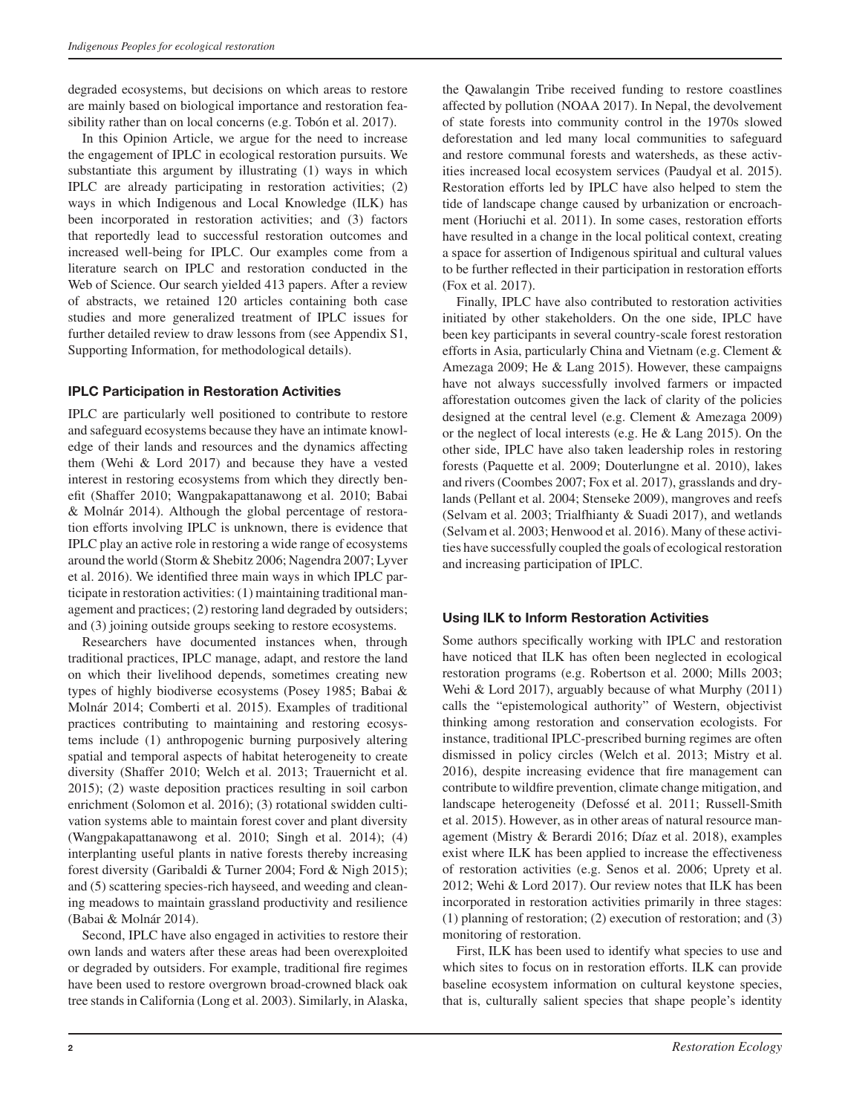degraded ecosystems, but decisions on which areas to restore are mainly based on biological importance and restoration feasibility rather than on local concerns (e.g. Tobón et al. 2017).

In this Opinion Article, we argue for the need to increase the engagement of IPLC in ecological restoration pursuits. We substantiate this argument by illustrating (1) ways in which IPLC are already participating in restoration activities; (2) ways in which Indigenous and Local Knowledge (ILK) has been incorporated in restoration activities; and (3) factors that reportedly lead to successful restoration outcomes and increased well-being for IPLC. Our examples come from a literature search on IPLC and restoration conducted in the Web of Science. Our search yielded 413 papers. After a review of abstracts, we retained 120 articles containing both case studies and more generalized treatment of IPLC issues for further detailed review to draw lessons from (see Appendix S1, Supporting Information, for methodological details).

# **IPLC Participation in Restoration Activities**

IPLC are particularly well positioned to contribute to restore and safeguard ecosystems because they have an intimate knowledge of their lands and resources and the dynamics affecting them (Wehi & Lord 2017) and because they have a vested interest in restoring ecosystems from which they directly benefit (Shaffer 2010; Wangpakapattanawong et al. 2010; Babai & Molnár 2014). Although the global percentage of restoration efforts involving IPLC is unknown, there is evidence that IPLC play an active role in restoring a wide range of ecosystems around the world (Storm & Shebitz 2006; Nagendra 2007; Lyver et al. 2016). We identified three main ways in which IPLC participate in restoration activities: (1) maintaining traditional management and practices; (2) restoring land degraded by outsiders; and (3) joining outside groups seeking to restore ecosystems.

Researchers have documented instances when, through traditional practices, IPLC manage, adapt, and restore the land on which their livelihood depends, sometimes creating new types of highly biodiverse ecosystems (Posey 1985; Babai & Molnár 2014; Comberti et al. 2015). Examples of traditional practices contributing to maintaining and restoring ecosystems include (1) anthropogenic burning purposively altering spatial and temporal aspects of habitat heterogeneity to create diversity (Shaffer 2010; Welch et al. 2013; Trauernicht et al. 2015); (2) waste deposition practices resulting in soil carbon enrichment (Solomon et al. 2016); (3) rotational swidden cultivation systems able to maintain forest cover and plant diversity (Wangpakapattanawong et al. 2010; Singh et al. 2014); (4) interplanting useful plants in native forests thereby increasing forest diversity (Garibaldi & Turner 2004; Ford & Nigh 2015); and (5) scattering species-rich hayseed, and weeding and cleaning meadows to maintain grassland productivity and resilience (Babai & Molnár 2014).

Second, IPLC have also engaged in activities to restore their own lands and waters after these areas had been overexploited or degraded by outsiders. For example, traditional fire regimes have been used to restore overgrown broad-crowned black oak tree stands in California (Long et al. 2003). Similarly, in Alaska,

the Qawalangin Tribe received funding to restore coastlines affected by pollution (NOAA 2017). In Nepal, the devolvement of state forests into community control in the 1970s slowed deforestation and led many local communities to safeguard and restore communal forests and watersheds, as these activities increased local ecosystem services (Paudyal et al. 2015). Restoration efforts led by IPLC have also helped to stem the tide of landscape change caused by urbanization or encroachment (Horiuchi et al. 2011). In some cases, restoration efforts have resulted in a change in the local political context, creating a space for assertion of Indigenous spiritual and cultural values to be further reflected in their participation in restoration efforts (Fox et al. 2017).

Finally, IPLC have also contributed to restoration activities initiated by other stakeholders. On the one side, IPLC have been key participants in several country-scale forest restoration efforts in Asia, particularly China and Vietnam (e.g. Clement & Amezaga 2009; He & Lang 2015). However, these campaigns have not always successfully involved farmers or impacted afforestation outcomes given the lack of clarity of the policies designed at the central level (e.g. Clement & Amezaga 2009) or the neglect of local interests (e.g. He & Lang 2015). On the other side, IPLC have also taken leadership roles in restoring forests (Paquette et al. 2009; Douterlungne et al. 2010), lakes and rivers (Coombes 2007; Fox et al. 2017), grasslands and drylands (Pellant et al. 2004; Stenseke 2009), mangroves and reefs (Selvam et al. 2003; Trialfhianty & Suadi 2017), and wetlands (Selvam et al. 2003; Henwood et al. 2016). Many of these activities have successfully coupled the goals of ecological restoration and increasing participation of IPLC.

# **Using ILK to Inform Restoration Activities**

Some authors specifically working with IPLC and restoration have noticed that ILK has often been neglected in ecological restoration programs (e.g. Robertson et al. 2000; Mills 2003; Wehi & Lord 2017), arguably because of what Murphy (2011) calls the "epistemological authority" of Western, objectivist thinking among restoration and conservation ecologists. For instance, traditional IPLC-prescribed burning regimes are often dismissed in policy circles (Welch et al. 2013; Mistry et al. 2016), despite increasing evidence that fire management can contribute to wildfire prevention, climate change mitigation, and landscape heterogeneity (Defossé et al. 2011; Russell-Smith et al. 2015). However, as in other areas of natural resource management (Mistry & Berardi 2016; Díaz et al. 2018), examples exist where ILK has been applied to increase the effectiveness of restoration activities (e.g. Senos et al. 2006; Uprety et al. 2012; Wehi & Lord 2017). Our review notes that ILK has been incorporated in restoration activities primarily in three stages: (1) planning of restoration; (2) execution of restoration; and (3) monitoring of restoration.

First, ILK has been used to identify what species to use and which sites to focus on in restoration efforts. ILK can provide baseline ecosystem information on cultural keystone species, that is, culturally salient species that shape people's identity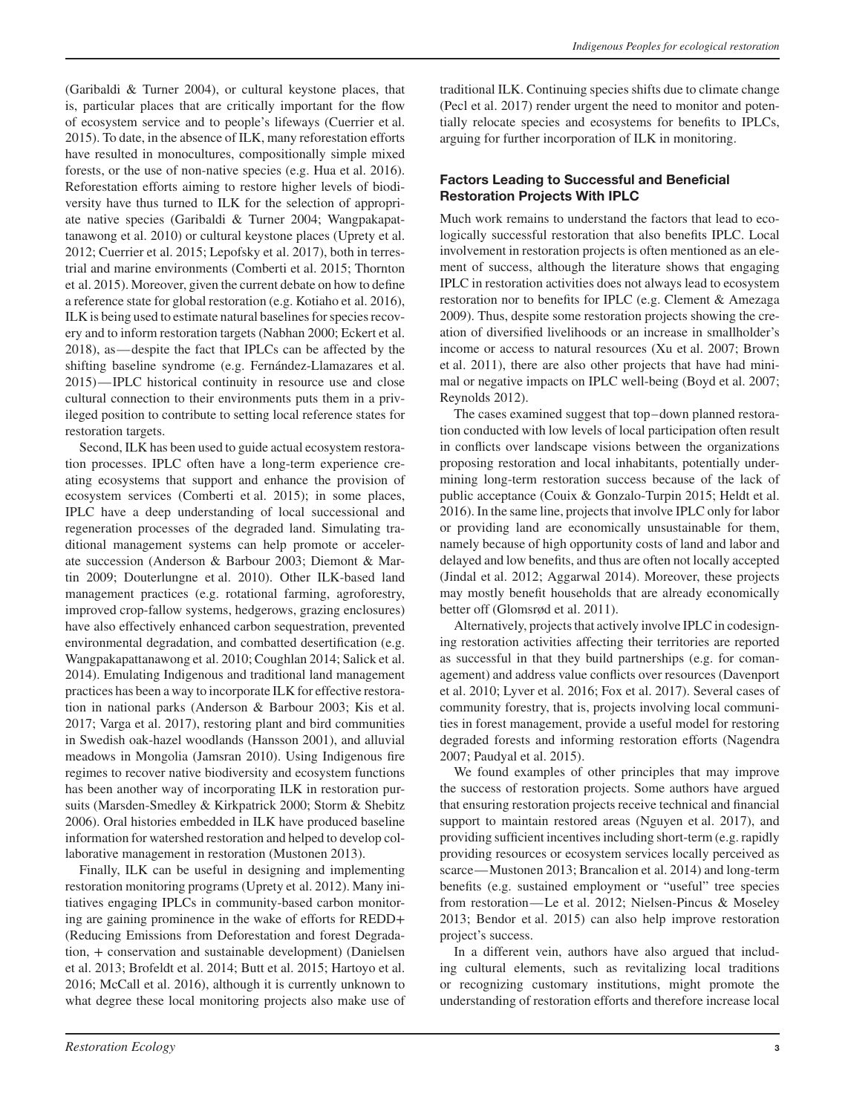(Garibaldi & Turner 2004), or cultural keystone places, that is, particular places that are critically important for the flow of ecosystem service and to people's lifeways (Cuerrier et al. 2015). To date, in the absence of ILK, many reforestation efforts have resulted in monocultures, compositionally simple mixed forests, or the use of non-native species (e.g. Hua et al. 2016). Reforestation efforts aiming to restore higher levels of biodiversity have thus turned to ILK for the selection of appropriate native species (Garibaldi & Turner 2004; Wangpakapattanawong et al. 2010) or cultural keystone places (Uprety et al. 2012; Cuerrier et al. 2015; Lepofsky et al. 2017), both in terrestrial and marine environments (Comberti et al. 2015; Thornton et al. 2015). Moreover, given the current debate on how to define a reference state for global restoration (e.g. Kotiaho et al. 2016), ILK is being used to estimate natural baselines for species recovery and to inform restoration targets (Nabhan 2000; Eckert et al. 2018), as—despite the fact that IPLCs can be affected by the shifting baseline syndrome (e.g. Fernández-Llamazares et al. 2015)— IPLC historical continuity in resource use and close cultural connection to their environments puts them in a privileged position to contribute to setting local reference states for restoration targets.

Second, ILK has been used to guide actual ecosystem restoration processes. IPLC often have a long-term experience creating ecosystems that support and enhance the provision of ecosystem services (Comberti et al. 2015); in some places, IPLC have a deep understanding of local successional and regeneration processes of the degraded land. Simulating traditional management systems can help promote or accelerate succession (Anderson & Barbour 2003; Diemont & Martin 2009; Douterlungne et al. 2010). Other ILK-based land management practices (e.g. rotational farming, agroforestry, improved crop-fallow systems, hedgerows, grazing enclosures) have also effectively enhanced carbon sequestration, prevented environmental degradation, and combatted desertification (e.g. Wangpakapattanawong et al. 2010; Coughlan 2014; Salick et al. 2014). Emulating Indigenous and traditional land management practices has been a way to incorporate ILK for effective restoration in national parks (Anderson & Barbour 2003; Kis et al. 2017; Varga et al. 2017), restoring plant and bird communities in Swedish oak-hazel woodlands (Hansson 2001), and alluvial meadows in Mongolia (Jamsran 2010). Using Indigenous fire regimes to recover native biodiversity and ecosystem functions has been another way of incorporating ILK in restoration pursuits (Marsden-Smedley & Kirkpatrick 2000; Storm & Shebitz 2006). Oral histories embedded in ILK have produced baseline information for watershed restoration and helped to develop collaborative management in restoration (Mustonen 2013).

Finally, ILK can be useful in designing and implementing restoration monitoring programs (Uprety et al. 2012). Many initiatives engaging IPLCs in community-based carbon monitoring are gaining prominence in the wake of efforts for REDD+ (Reducing Emissions from Deforestation and forest Degradation, + conservation and sustainable development) (Danielsen et al. 2013; Brofeldt et al. 2014; Butt et al. 2015; Hartoyo et al. 2016; McCall et al. 2016), although it is currently unknown to what degree these local monitoring projects also make use of traditional ILK. Continuing species shifts due to climate change (Pecl et al. 2017) render urgent the need to monitor and potentially relocate species and ecosystems for benefits to IPLCs, arguing for further incorporation of ILK in monitoring.

# **Factors Leading to Successful and Beneficial Restoration Projects With IPLC**

Much work remains to understand the factors that lead to ecologically successful restoration that also benefits IPLC. Local involvement in restoration projects is often mentioned as an element of success, although the literature shows that engaging IPLC in restoration activities does not always lead to ecosystem restoration nor to benefits for IPLC (e.g. Clement & Amezaga 2009). Thus, despite some restoration projects showing the creation of diversified livelihoods or an increase in smallholder's income or access to natural resources (Xu et al. 2007; Brown et al. 2011), there are also other projects that have had minimal or negative impacts on IPLC well-being (Boyd et al. 2007; Reynolds 2012).

The cases examined suggest that top–down planned restoration conducted with low levels of local participation often result in conflicts over landscape visions between the organizations proposing restoration and local inhabitants, potentially undermining long-term restoration success because of the lack of public acceptance (Couix & Gonzalo-Turpin 2015; Heldt et al. 2016). In the same line, projects that involve IPLC only for labor or providing land are economically unsustainable for them, namely because of high opportunity costs of land and labor and delayed and low benefits, and thus are often not locally accepted (Jindal et al. 2012; Aggarwal 2014). Moreover, these projects may mostly benefit households that are already economically better off (Glomsrød et al. 2011).

Alternatively, projects that actively involve IPLC in codesigning restoration activities affecting their territories are reported as successful in that they build partnerships (e.g. for comanagement) and address value conflicts over resources (Davenport et al. 2010; Lyver et al. 2016; Fox et al. 2017). Several cases of community forestry, that is, projects involving local communities in forest management, provide a useful model for restoring degraded forests and informing restoration efforts (Nagendra 2007; Paudyal et al. 2015).

We found examples of other principles that may improve the success of restoration projects. Some authors have argued that ensuring restoration projects receive technical and financial support to maintain restored areas (Nguyen et al. 2017), and providing sufficient incentives including short-term (e.g. rapidly providing resources or ecosystem services locally perceived as scarce—Mustonen 2013; Brancalion et al. 2014) and long-term benefits (e.g. sustained employment or "useful" tree species from restoration—Le et al. 2012; Nielsen-Pincus & Moseley 2013; Bendor et al. 2015) can also help improve restoration project's success.

In a different vein, authors have also argued that including cultural elements, such as revitalizing local traditions or recognizing customary institutions, might promote the understanding of restoration efforts and therefore increase local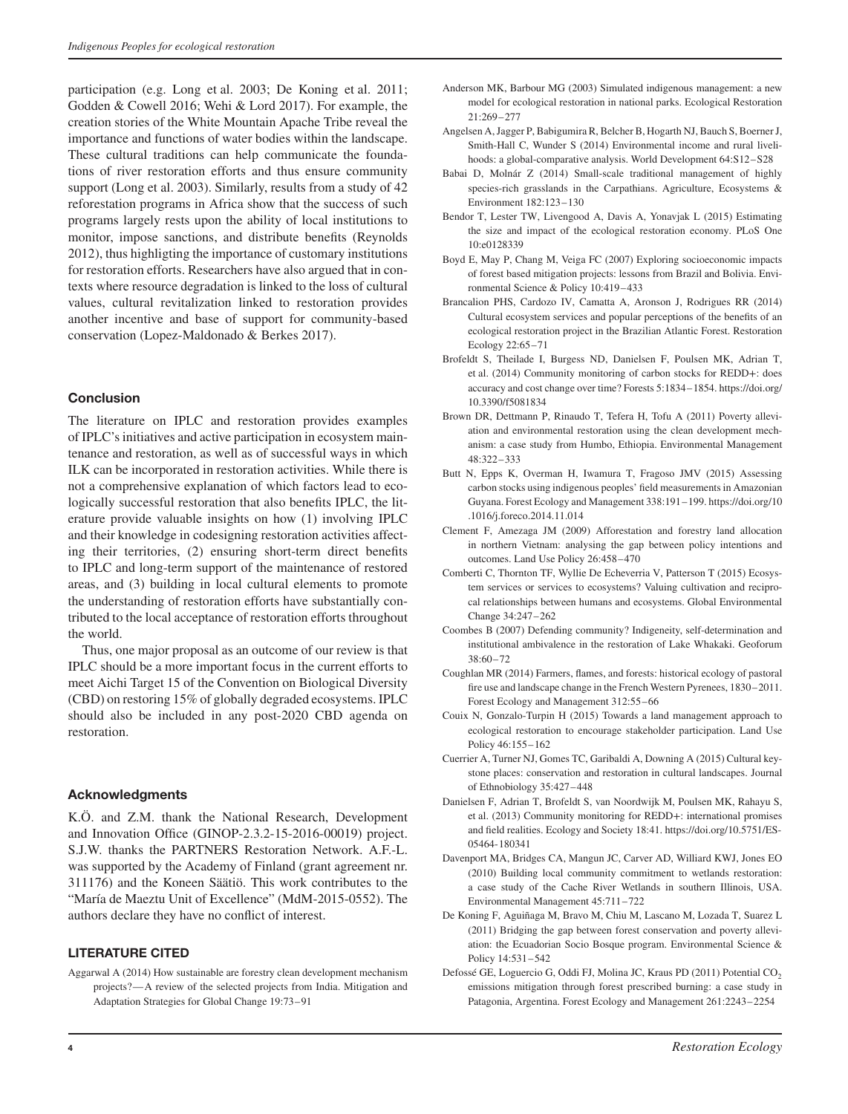participation (e.g. Long et al. 2003; De Koning et al. 2011; Godden & Cowell 2016; Wehi & Lord 2017). For example, the creation stories of the White Mountain Apache Tribe reveal the importance and functions of water bodies within the landscape. These cultural traditions can help communicate the foundations of river restoration efforts and thus ensure community support (Long et al. 2003). Similarly, results from a study of 42 reforestation programs in Africa show that the success of such programs largely rests upon the ability of local institutions to monitor, impose sanctions, and distribute benefits (Reynolds 2012), thus highligting the importance of customary institutions for restoration efforts. Researchers have also argued that in contexts where resource degradation is linked to the loss of cultural values, cultural revitalization linked to restoration provides another incentive and base of support for community-based conservation (Lopez-Maldonado & Berkes 2017).

# **Conclusion**

The literature on IPLC and restoration provides examples of IPLC's initiatives and active participation in ecosystem maintenance and restoration, as well as of successful ways in which ILK can be incorporated in restoration activities. While there is not a comprehensive explanation of which factors lead to ecologically successful restoration that also benefits IPLC, the literature provide valuable insights on how (1) involving IPLC and their knowledge in codesigning restoration activities affecting their territories, (2) ensuring short-term direct benefits to IPLC and long-term support of the maintenance of restored areas, and (3) building in local cultural elements to promote the understanding of restoration efforts have substantially contributed to the local acceptance of restoration efforts throughout the world.

Thus, one major proposal as an outcome of our review is that IPLC should be a more important focus in the current efforts to meet Aichi Target 15 of the Convention on Biological Diversity (CBD) on restoring 15% of globally degraded ecosystems. IPLC should also be included in any post-2020 CBD agenda on restoration.

# **Acknowledgments**

K.Ö. and Z.M. thank the National Research, Development and Innovation Office (GINOP-2.3.2-15-2016-00019) project. S.J.W. thanks the PARTNERS Restoration Network. A.F.-L. was supported by the Academy of Finland (grant agreement nr. 311176) and the Koneen Säätiö. This work contributes to the "María de Maeztu Unit of Excellence" (MdM-2015-0552). The authors declare they have no conflict of interest.

# **LITERATURE CITED**

Aggarwal A (2014) How sustainable are forestry clean development mechanism projects?—A review of the selected projects from India. Mitigation and Adaptation Strategies for Global Change 19:73–91

- Anderson MK, Barbour MG (2003) Simulated indigenous management: a new model for ecological restoration in national parks. Ecological Restoration 21:269–277
- Angelsen A, Jagger P, Babigumira R, Belcher B, Hogarth NJ, Bauch S, Boerner J, Smith-Hall C, Wunder S (2014) Environmental income and rural livelihoods: a global-comparative analysis. World Development 64:S12–S28
- Babai D, Molnár Z (2014) Small-scale traditional management of highly species-rich grasslands in the Carpathians. Agriculture, Ecosystems & Environment 182:123–130
- Bendor T, Lester TW, Livengood A, Davis A, Yonavjak L (2015) Estimating the size and impact of the ecological restoration economy. PLoS One 10:e0128339
- Boyd E, May P, Chang M, Veiga FC (2007) Exploring socioeconomic impacts of forest based mitigation projects: lessons from Brazil and Bolivia. Environmental Science & Policy 10:419–433
- Brancalion PHS, Cardozo IV, Camatta A, Aronson J, Rodrigues RR (2014) Cultural ecosystem services and popular perceptions of the benefits of an ecological restoration project in the Brazilian Atlantic Forest. Restoration Ecology 22:65–71
- Brofeldt S, Theilade I, Burgess ND, Danielsen F, Poulsen MK, Adrian T, et al. (2014) Community monitoring of carbon stocks for REDD+: does accuracy and cost change over time? Forests 5:1834–1854. [https://doi.org/](https://doi.org/10.3390/f5081834) [10.3390/f5081834](https://doi.org/10.3390/f5081834)
- Brown DR, Dettmann P, Rinaudo T, Tefera H, Tofu A (2011) Poverty alleviation and environmental restoration using the clean development mechanism: a case study from Humbo, Ethiopia. Environmental Management 48:322–333
- Butt N, Epps K, Overman H, Iwamura T, Fragoso JMV (2015) Assessing carbon stocks using indigenous peoples' field measurements in Amazonian Guyana. Forest Ecology and Management 338:191–199. [https://doi.org/10](https://doi.org/10.1016/j.foreco.2014.11.014) [.1016/j.foreco.2014.11.014](https://doi.org/10.1016/j.foreco.2014.11.014)
- Clement F, Amezaga JM (2009) Afforestation and forestry land allocation in northern Vietnam: analysing the gap between policy intentions and outcomes. Land Use Policy 26:458–470
- Comberti C, Thornton TF, Wyllie De Echeverria V, Patterson T (2015) Ecosystem services or services to ecosystems? Valuing cultivation and reciprocal relationships between humans and ecosystems. Global Environmental Change 34:247–262
- Coombes B (2007) Defending community? Indigeneity, self-determination and institutional ambivalence in the restoration of Lake Whakaki. Geoforum  $38.60 - 72$
- Coughlan MR (2014) Farmers, flames, and forests: historical ecology of pastoral fire use and landscape change in the French Western Pyrenees, 1830–2011. Forest Ecology and Management 312:55–66
- Couix N, Gonzalo-Turpin H (2015) Towards a land management approach to ecological restoration to encourage stakeholder participation. Land Use Policy 46:155–162
- Cuerrier A, Turner NJ, Gomes TC, Garibaldi A, Downing A (2015) Cultural keystone places: conservation and restoration in cultural landscapes. Journal of Ethnobiology 35:427–448
- Danielsen F, Adrian T, Brofeldt S, van Noordwijk M, Poulsen MK, Rahayu S, et al. (2013) Community monitoring for REDD+: international promises and field realities. Ecology and Society 18:41. [https://doi.org/10.5751/ES-](https://doi.org/10.5751/ES-05464-180341)[05464-180341](https://doi.org/10.5751/ES-05464-180341)
- Davenport MA, Bridges CA, Mangun JC, Carver AD, Williard KWJ, Jones EO (2010) Building local community commitment to wetlands restoration: a case study of the Cache River Wetlands in southern Illinois, USA. Environmental Management 45:711–722
- De Koning F, Aguiñaga M, Bravo M, Chiu M, Lascano M, Lozada T, Suarez L (2011) Bridging the gap between forest conservation and poverty alleviation: the Ecuadorian Socio Bosque program. Environmental Science & Policy 14:531–542
- Defossé GE, Loguercio G, Oddi FJ, Molina JC, Kraus PD (2011) Potential CO<sub>2</sub> emissions mitigation through forest prescribed burning: a case study in Patagonia, Argentina. Forest Ecology and Management 261:2243–2254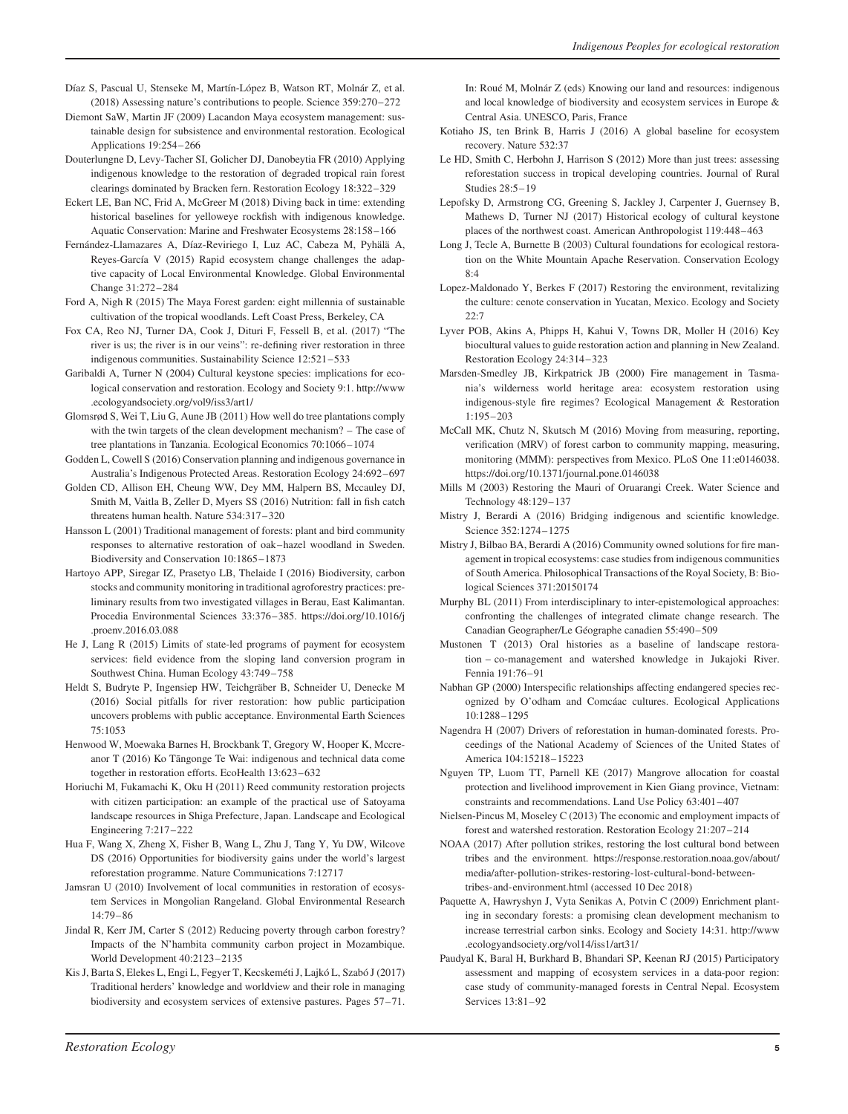- Díaz S, Pascual U, Stenseke M, Martín-López B, Watson RT, Molnár Z, et al. (2018) Assessing nature's contributions to people. Science 359:270–272
- Diemont SaW, Martin JF (2009) Lacandon Maya ecosystem management: sustainable design for subsistence and environmental restoration. Ecological Applications 19:254–266
- Douterlungne D, Levy-Tacher SI, Golicher DJ, Danobeytia FR (2010) Applying indigenous knowledge to the restoration of degraded tropical rain forest clearings dominated by Bracken fern. Restoration Ecology 18:322–329
- Eckert LE, Ban NC, Frid A, McGreer M (2018) Diving back in time: extending historical baselines for yelloweye rockfish with indigenous knowledge. Aquatic Conservation: Marine and Freshwater Ecosystems 28:158–166
- Fernández-Llamazares A, Díaz-Reviriego I, Luz AC, Cabeza M, Pyhälä A, Reyes-García V (2015) Rapid ecosystem change challenges the adaptive capacity of Local Environmental Knowledge. Global Environmental Change 31:272–284
- Ford A, Nigh R (2015) The Maya Forest garden: eight millennia of sustainable cultivation of the tropical woodlands. Left Coast Press, Berkeley, CA
- Fox CA, Reo NJ, Turner DA, Cook J, Dituri F, Fessell B, et al. (2017) "The river is us; the river is in our veins": re-defining river restoration in three indigenous communities. Sustainability Science 12:521–533
- Garibaldi A, Turner N (2004) Cultural keystone species: implications for ecological conservation and restoration. Ecology and Society 9:1. [http://www](http://www.ecologyandsociety.org/vol9/iss3/art1/) [.ecologyandsociety.org/vol9/iss3/art1/](http://www.ecologyandsociety.org/vol9/iss3/art1/)
- Glomsrød S, Wei T, Liu G, Aune JB (2011) How well do tree plantations comply with the twin targets of the clean development mechanism? – The case of tree plantations in Tanzania. Ecological Economics 70:1066–1074
- Godden L, Cowell S (2016) Conservation planning and indigenous governance in Australia's Indigenous Protected Areas. Restoration Ecology 24:692–697
- Golden CD, Allison EH, Cheung WW, Dey MM, Halpern BS, Mccauley DJ, Smith M, Vaitla B, Zeller D, Myers SS (2016) Nutrition: fall in fish catch threatens human health. Nature 534:317–320
- Hansson L (2001) Traditional management of forests: plant and bird community responses to alternative restoration of oak–hazel woodland in Sweden. Biodiversity and Conservation 10:1865–1873
- Hartoyo APP, Siregar IZ, Prasetyo LB, Thelaide I (2016) Biodiversity, carbon stocks and community monitoring in traditional agroforestry practices: preliminary results from two investigated villages in Berau, East Kalimantan. Procedia Environmental Sciences 33:376–385. [https://doi.org/10.1016/j](https://doi.org/10.1016/j.proenv.2016.03.088) [.proenv.2016.03.088](https://doi.org/10.1016/j.proenv.2016.03.088)
- He J, Lang R (2015) Limits of state-led programs of payment for ecosystem services: field evidence from the sloping land conversion program in Southwest China. Human Ecology 43:749–758
- Heldt S, Budryte P, Ingensiep HW, Teichgräber B, Schneider U, Denecke M (2016) Social pitfalls for river restoration: how public participation uncovers problems with public acceptance. Environmental Earth Sciences 75:1053
- Henwood W, Moewaka Barnes H, Brockbank T, Gregory W, Hooper K, Mccreanor T (2016) Ko Tāngonge Te Wai: indigenous and technical data come together in restoration efforts. EcoHealth 13:623–632
- Horiuchi M, Fukamachi K, Oku H (2011) Reed community restoration projects with citizen participation: an example of the practical use of Satoyama landscape resources in Shiga Prefecture, Japan. Landscape and Ecological Engineering 7:217–222
- Hua F, Wang X, Zheng X, Fisher B, Wang L, Zhu J, Tang Y, Yu DW, Wilcove DS (2016) Opportunities for biodiversity gains under the world's largest reforestation programme. Nature Communications 7:12717
- Jamsran U (2010) Involvement of local communities in restoration of ecosystem Services in Mongolian Rangeland. Global Environmental Research 14:79–86
- Jindal R, Kerr JM, Carter S (2012) Reducing poverty through carbon forestry? Impacts of the N'hambita community carbon project in Mozambique. World Development 40:2123–2135
- Kis J, Barta S, Elekes L, Engi L, Fegyer T, Kecskeméti J, Lajkó L, Szabó J (2017) Traditional herders' knowledge and worldview and their role in managing biodiversity and ecosystem services of extensive pastures. Pages 57–71.

In: Roué M, Molnár Z (eds) Knowing our land and resources: indigenous and local knowledge of biodiversity and ecosystem services in Europe & Central Asia. UNESCO, Paris, France

- Kotiaho JS, ten Brink B, Harris J (2016) A global baseline for ecosystem recovery. Nature 532:37
- Le HD, Smith C, Herbohn J, Harrison S (2012) More than just trees: assessing reforestation success in tropical developing countries. Journal of Rural Studies 28:5–19
- Lepofsky D, Armstrong CG, Greening S, Jackley J, Carpenter J, Guernsey B, Mathews D, Turner NJ (2017) Historical ecology of cultural keystone places of the northwest coast. American Anthropologist 119:448–463
- Long J, Tecle A, Burnette B (2003) Cultural foundations for ecological restoration on the White Mountain Apache Reservation. Conservation Ecology 8:4
- Lopez-Maldonado Y, Berkes F (2017) Restoring the environment, revitalizing the culture: cenote conservation in Yucatan, Mexico. Ecology and Society  $22.7$
- Lyver POB, Akins A, Phipps H, Kahui V, Towns DR, Moller H (2016) Key biocultural values to guide restoration action and planning in New Zealand. Restoration Ecology 24:314–323
- Marsden-Smedley JB, Kirkpatrick JB (2000) Fire management in Tasmania's wilderness world heritage area: ecosystem restoration using indigenous-style fire regimes? Ecological Management & Restoration 1:195–203
- McCall MK, Chutz N, Skutsch M (2016) Moving from measuring, reporting, verification (MRV) of forest carbon to community mapping, measuring, monitoring (MMM): perspectives from Mexico. PLoS One 11:e0146038. <https://doi.org/10.1371/journal.pone.0146038>
- Mills M (2003) Restoring the Mauri of Oruarangi Creek. Water Science and Technology 48:129–137
- Mistry J, Berardi A (2016) Bridging indigenous and scientific knowledge. Science 352:1274–1275
- Mistry J, Bilbao BA, Berardi A (2016) Community owned solutions for fire management in tropical ecosystems: case studies from indigenous communities of South America. Philosophical Transactions of the Royal Society, B: Biological Sciences 371:20150174
- Murphy BL (2011) From interdisciplinary to inter-epistemological approaches: confronting the challenges of integrated climate change research. The Canadian Geographer/Le Géographe canadien 55:490–509
- Mustonen T (2013) Oral histories as a baseline of landscape restoration – co-management and watershed knowledge in Jukajoki River. Fennia 191:76–91
- Nabhan GP (2000) Interspecific relationships affecting endangered species recognized by O'odham and Comcáac cultures. Ecological Applications 10:1288–1295
- Nagendra H (2007) Drivers of reforestation in human-dominated forests. Proceedings of the National Academy of Sciences of the United States of America 104:15218–15223
- Nguyen TP, Luom TT, Parnell KE (2017) Mangrove allocation for coastal protection and livelihood improvement in Kien Giang province, Vietnam: constraints and recommendations. Land Use Policy 63:401–407
- Nielsen-Pincus M, Moseley C (2013) The economic and employment impacts of forest and watershed restoration. Restoration Ecology 21:207–214
- NOAA (2017) After pollution strikes, restoring the lost cultural bond between tribes and the environment. [https://response.restoration.noaa.gov/about/](https://response.restoration.noaa.gov/about/media/after-pollution-strikes-restoring-lost-cultural-bond-between-tribes-and-environment.html) [media/after-pollution-strikes-restoring-lost-cultural-bond-between](https://response.restoration.noaa.gov/about/media/after-pollution-strikes-restoring-lost-cultural-bond-between-tribes-and-environment.html)[tribes-and-environment.html](https://response.restoration.noaa.gov/about/media/after-pollution-strikes-restoring-lost-cultural-bond-between-tribes-and-environment.html) (accessed 10 Dec 2018)
- Paquette A, Hawryshyn J, Vyta Senikas A, Potvin C (2009) Enrichment planting in secondary forests: a promising clean development mechanism to increase terrestrial carbon sinks. Ecology and Society 14:31. [http://www](http://www.ecologyandsociety.org/vol14/iss1/art31/) [.ecologyandsociety.org/vol14/iss1/art31/](http://www.ecologyandsociety.org/vol14/iss1/art31/)
- Paudyal K, Baral H, Burkhard B, Bhandari SP, Keenan RJ (2015) Participatory assessment and mapping of ecosystem services in a data-poor region: case study of community-managed forests in Central Nepal. Ecosystem Services 13:81–92